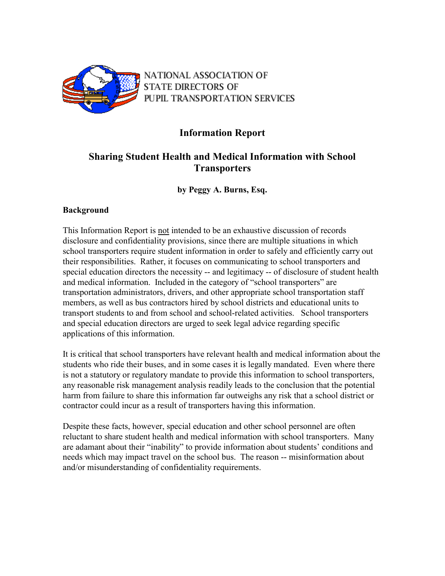

NATIONAL ASSOCIATION OF **STATE DIRECTORS OF** PUPIL TRANSPORTATION SERVICES

# **Information Report**

# **Sharing Student Health and Medical Information with School Transporters**

**by Peggy A. Burns, Esq.** 

# **Background**

This Information Report is not intended to be an exhaustive discussion of records disclosure and confidentiality provisions, since there are multiple situations in which school transporters require student information in order to safely and efficiently carry out their responsibilities. Rather, it focuses on communicating to school transporters and special education directors the necessity -- and legitimacy -- of disclosure of student health and medical information. Included in the category of "school transporters" are transportation administrators, drivers, and other appropriate school transportation staff members, as well as bus contractors hired by school districts and educational units to transport students to and from school and school-related activities. School transporters and special education directors are urged to seek legal advice regarding specific applications of this information.

It is critical that school transporters have relevant health and medical information about the students who ride their buses, and in some cases it is legally mandated. Even where there is not a statutory or regulatory mandate to provide this information to school transporters, any reasonable risk management analysis readily leads to the conclusion that the potential harm from failure to share this information far outweighs any risk that a school district or contractor could incur as a result of transporters having this information.

Despite these facts, however, special education and other school personnel are often reluctant to share student health and medical information with school transporters. Many are adamant about their "inability" to provide information about students' conditions and needs which may impact travel on the school bus. The reason -- misinformation about and/or misunderstanding of confidentiality requirements.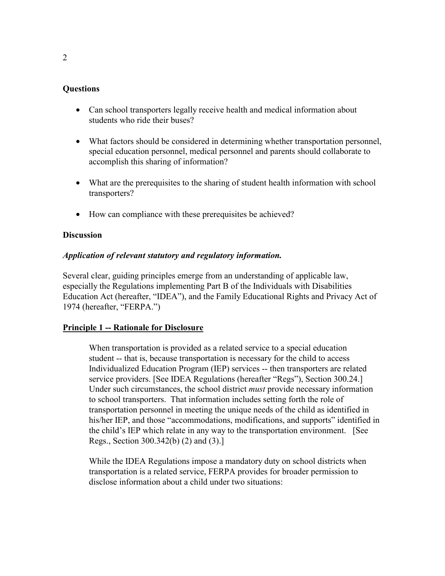## **Questions**

- Can school transporters legally receive health and medical information about students who ride their buses?
- What factors should be considered in determining whether transportation personnel, special education personnel, medical personnel and parents should collaborate to accomplish this sharing of information?
- What are the prerequisites to the sharing of student health information with school transporters?
- How can compliance with these prerequisites be achieved?

## **Discussion**

## *Application of relevant statutory and regulatory information.*

Several clear, guiding principles emerge from an understanding of applicable law, especially the Regulations implementing Part B of the Individuals with Disabilities Education Act (hereafter, "IDEA"), and the Family Educational Rights and Privacy Act of 1974 (hereafter, "FERPA.")

# **Principle 1 -- Rationale for Disclosure**

When transportation is provided as a related service to a special education student -- that is, because transportation is necessary for the child to access Individualized Education Program (IEP) services -- then transporters are related service providers. [See IDEA Regulations (hereafter "Regs"), Section 300.24.] Under such circumstances, the school district *must* provide necessary information to school transporters. That information includes setting forth the role of transportation personnel in meeting the unique needs of the child as identified in his/her IEP, and those "accommodations, modifications, and supports" identified in the child's IEP which relate in any way to the transportation environment. [See Regs., Section 300.342(b) (2) and (3).]

While the IDEA Regulations impose a mandatory duty on school districts when transportation is a related service, FERPA provides for broader permission to disclose information about a child under two situations: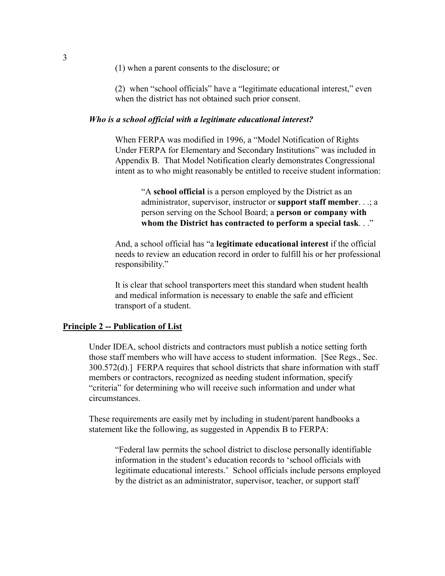(1) when a parent consents to the disclosure; or

(2) when "school officials" have a "legitimate educational interest," even when the district has not obtained such prior consent.

#### *Who is a school official with a legitimate educational interest?*

When FERPA was modified in 1996, a "Model Notification of Rights Under FERPA for Elementary and Secondary Institutions" was included in Appendix B. That Model Notification clearly demonstrates Congressional intent as to who might reasonably be entitled to receive student information:

"A **school official** is a person employed by the District as an administrator, supervisor, instructor or **support staff member**. . .; a person serving on the School Board; a **person or company with whom the District has contracted to perform a special task**. . ."

And, a school official has "a **legitimate educational interest** if the official needs to review an education record in order to fulfill his or her professional responsibility."

It is clear that school transporters meet this standard when student health and medical information is necessary to enable the safe and efficient transport of a student.

#### **Principle 2 -- Publication of List**

Under IDEA, school districts and contractors must publish a notice setting forth those staff members who will have access to student information. [See Regs., Sec. 300.572(d).] FERPA requires that school districts that share information with staff members or contractors, recognized as needing student information, specify "criteria" for determining who will receive such information and under what circumstances.

These requirements are easily met by including in student/parent handbooks a statement like the following, as suggested in Appendix B to FERPA:

"Federal law permits the school district to disclose personally identifiable information in the student's education records to 'school officials with legitimate educational interests.' School officials include persons employed by the district as an administrator, supervisor, teacher, or support staff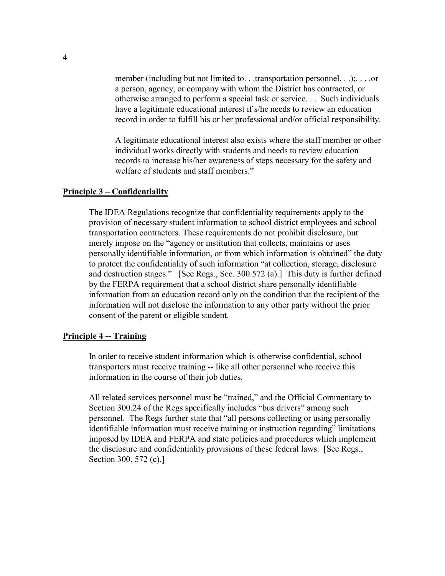member (including but not limited to. . .transportation personnel. . .);. . . .or a person, agency, or company with whom the District has contracted, or otherwise arranged to perform a special task or service. . . Such individuals have a legitimate educational interest if s/he needs to review an education record in order to fulfill his or her professional and/or official responsibility.

A legitimate educational interest also exists where the staff member or other individual works directly with students and needs to review education records to increase his/her awareness of steps necessary for the safety and welfare of students and staff members."

#### **Principle 3 – Confidentiality**

The IDEA Regulations recognize that confidentiality requirements apply to the provision of necessary student information to school district employees and school transportation contractors. These requirements do not prohibit disclosure, but merely impose on the "agency or institution that collects, maintains or uses personally identifiable information, or from which information is obtained" the duty to protect the confidentiality of such information "at collection, storage, disclosure and destruction stages." [See Regs., Sec. 300.572 (a).] This duty is further defined by the FERPA requirement that a school district share personally identifiable information from an education record only on the condition that the recipient of the information will not disclose the information to any other party without the prior consent of the parent or eligible student.

## **Principle 4 -- Training**

In order to receive student information which is otherwise confidential, school transporters must receive training -- like all other personnel who receive this information in the course of their job duties.

All related services personnel must be "trained," and the Official Commentary to Section 300.24 of the Regs specifically includes "bus drivers" among such personnel. The Regs further state that "all persons collecting or using personally identifiable information must receive training or instruction regarding" limitations imposed by IDEA and FERPA and state policies and procedures which implement the disclosure and confidentiality provisions of these federal laws. [See Regs., Section 300. 572 (c).]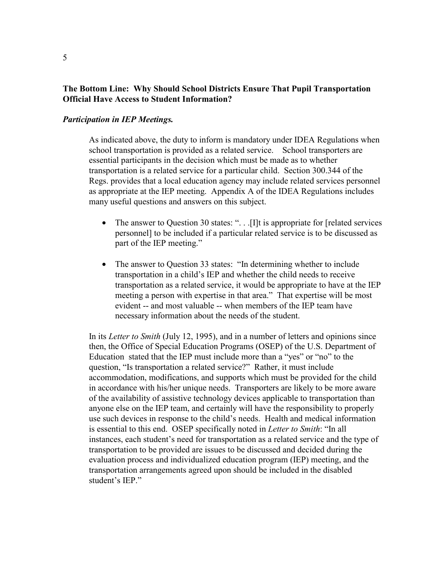# **The Bottom Line: Why Should School Districts Ensure That Pupil Transportation Official Have Access to Student Information?**

## *Participation in IEP Meetings.*

As indicated above, the duty to inform is mandatory under IDEA Regulations when school transportation is provided as a related service. School transporters are essential participants in the decision which must be made as to whether transportation is a related service for a particular child. Section 300.344 of the Regs. provides that a local education agency may include related services personnel as appropriate at the IEP meeting. Appendix A of the IDEA Regulations includes many useful questions and answers on this subject.

- The answer to Question 30 states: "... [I]t is appropriate for [related services] personnel] to be included if a particular related service is to be discussed as part of the IEP meeting."
- The answer to Question 33 states: "In determining whether to include transportation in a child's IEP and whether the child needs to receive transportation as a related service, it would be appropriate to have at the IEP meeting a person with expertise in that area."That expertise will be most evident -- and most valuable -- when members of the IEP team have necessary information about the needs of the student.

In its *Letter to Smith* (July 12, 1995), and in a number of letters and opinions since then, the Office of Special Education Programs (OSEP) of the U.S. Department of Education stated that the IEP must include more than a "yes" or "no" to the question, "Is transportation a related service?" Rather, it must include accommodation, modifications, and supports which must be provided for the child in accordance with his/her unique needs. Transporters are likely to be more aware of the availability of assistive technology devices applicable to transportation than anyone else on the IEP team, and certainly will have the responsibility to properly use such devices in response to the child's needs. Health and medical information is essential to this end. OSEP specifically noted in *Letter to Smith*: "In all instances, each student's need for transportation as a related service and the type of transportation to be provided are issues to be discussed and decided during the evaluation process and individualized education program (IEP) meeting, and the transportation arrangements agreed upon should be included in the disabled student's IEP."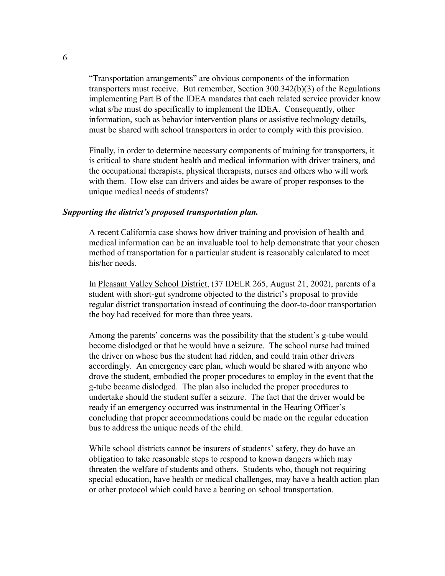"Transportation arrangements" are obvious components of the information transporters must receive. But remember, Section 300.342(b)(3) of the Regulations implementing Part B of the IDEA mandates that each related service provider know what s/he must do specifically to implement the IDEA. Consequently, other information, such as behavior intervention plans or assistive technology details, must be shared with school transporters in order to comply with this provision.

Finally, in order to determine necessary components of training for transporters, it is critical to share student health and medical information with driver trainers, and the occupational therapists, physical therapists, nurses and others who will work with them. How else can drivers and aides be aware of proper responses to the unique medical needs of students?

#### *Supporting the district's proposed transportation plan.*

A recent California case shows how driver training and provision of health and medical information can be an invaluable tool to help demonstrate that your chosen method of transportation for a particular student is reasonably calculated to meet his/her needs.

In Pleasant Valley School District, (37 IDELR 265, August 21, 2002), parents of a student with short-gut syndrome objected to the district's proposal to provide regular district transportation instead of continuing the door-to-door transportation the boy had received for more than three years.

Among the parents' concerns was the possibility that the student's g-tube would become dislodged or that he would have a seizure. The school nurse had trained the driver on whose bus the student had ridden, and could train other drivers accordingly. An emergency care plan, which would be shared with anyone who drove the student, embodied the proper procedures to employ in the event that the g-tube became dislodged. The plan also included the proper procedures to undertake should the student suffer a seizure. The fact that the driver would be ready if an emergency occurred was instrumental in the Hearing Officer's concluding that proper accommodations could be made on the regular education bus to address the unique needs of the child.

While school districts cannot be insurers of students' safety, they do have an obligation to take reasonable steps to respond to known dangers which may threaten the welfare of students and others. Students who, though not requiring special education, have health or medical challenges, may have a health action plan or other protocol which could have a bearing on school transportation.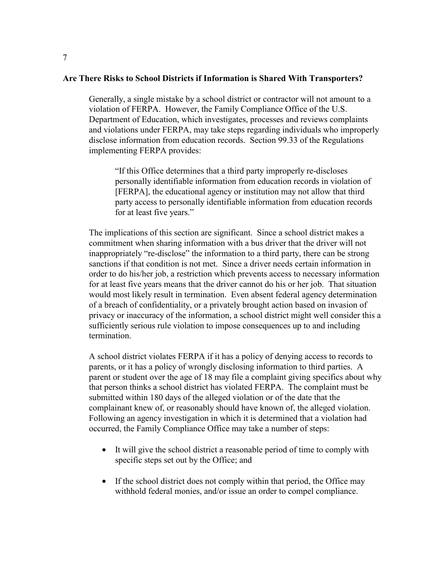#### **Are There Risks to School Districts if Information is Shared With Transporters?**

Generally, a single mistake by a school district or contractor will not amount to a violation of FERPA. However, the Family Compliance Office of the U.S. Department of Education, which investigates, processes and reviews complaints and violations under FERPA, may take steps regarding individuals who improperly disclose information from education records. Section 99.33 of the Regulations implementing FERPA provides:

"If this Office determines that a third party improperly re-discloses personally identifiable information from education records in violation of [FERPA], the educational agency or institution may not allow that third party access to personally identifiable information from education records for at least five years."

The implications of this section are significant. Since a school district makes a commitment when sharing information with a bus driver that the driver will not inappropriately "re-disclose" the information to a third party, there can be strong sanctions if that condition is not met. Since a driver needs certain information in order to do his/her job, a restriction which prevents access to necessary information for at least five years means that the driver cannot do his or her job. That situation would most likely result in termination. Even absent federal agency determination of a breach of confidentiality, or a privately brought action based on invasion of privacy or inaccuracy of the information, a school district might well consider this a sufficiently serious rule violation to impose consequences up to and including termination.

A school district violates FERPA if it has a policy of denying access to records to parents, or it has a policy of wrongly disclosing information to third parties. A parent or student over the age of 18 may file a complaint giving specifics about why that person thinks a school district has violated FERPA. The complaint must be submitted within 180 days of the alleged violation or of the date that the complainant knew of, or reasonably should have known of, the alleged violation. Following an agency investigation in which it is determined that a violation had occurred, the Family Compliance Office may take a number of steps:

- It will give the school district a reasonable period of time to comply with specific steps set out by the Office; and
- If the school district does not comply within that period, the Office may withhold federal monies, and/or issue an order to compel compliance.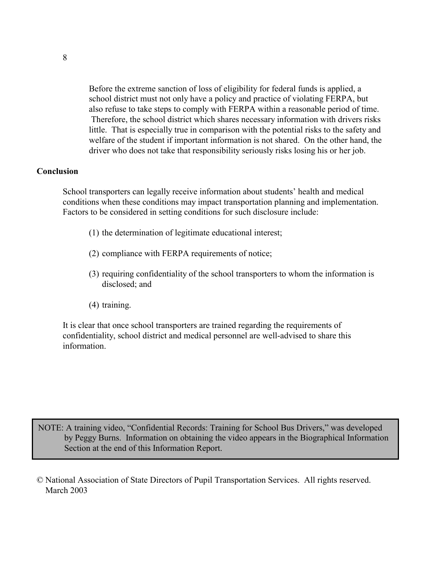Before the extreme sanction of loss of eligibility for federal funds is applied, a school district must not only have a policy and practice of violating FERPA, but also refuse to take steps to comply with FERPA within a reasonable period of time. Therefore, the school district which shares necessary information with drivers risks little. That is especially true in comparison with the potential risks to the safety and welfare of the student if important information is not shared. On the other hand, the driver who does not take that responsibility seriously risks losing his or her job.

#### **Conclusion**

 School transporters can legally receive information about students' health and medical conditions when these conditions may impact transportation planning and implementation. Factors to be considered in setting conditions for such disclosure include:

- (1) the determination of legitimate educational interest;
- (2) compliance with FERPA requirements of notice;
- (3) requiring confidentiality of the school transporters to whom the information is disclosed; and
- (4) training.

It is clear that once school transporters are trained regarding the requirements of confidentiality, school district and medical personnel are well-advised to share this information.

NOTE: A training video, "Confidential Records: Training for School Bus Drivers," was developed by Peggy Burns. Information on obtaining the video appears in the Biographical Information Section at the end of this Information Report.

© National Association of State Directors of Pupil Transportation Services. All rights reserved. March 2003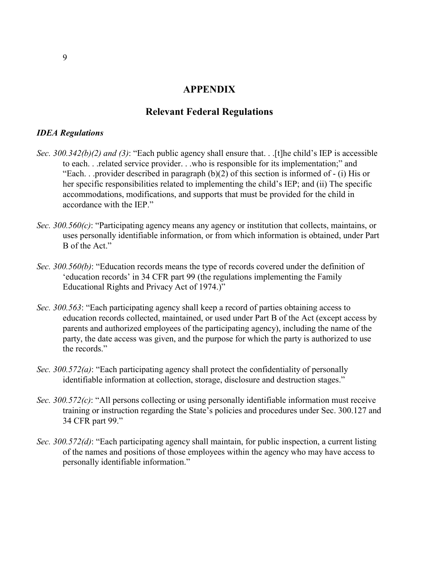# **APPENDIX**

# **Relevant Federal Regulations**

#### *IDEA Regulations*

- *Sec. 300.342(b)(2) and (3)*: "Each public agency shall ensure that. . .[t]he child's IEP is accessible to each. . .related service provider. . .who is responsible for its implementation;" and "Each. . .provider described in paragraph (b)(2) of this section is informed of - (i) His or her specific responsibilities related to implementing the child's IEP; and (ii) The specific accommodations, modifications, and supports that must be provided for the child in accordance with the IEP."
- *Sec. 300.560(c)*: "Participating agency means any agency or institution that collects, maintains, or uses personally identifiable information, or from which information is obtained, under Part B of the Act."
- *Sec. 300.560(b)*: "Education records means the type of records covered under the definition of 'education records' in 34 CFR part 99 (the regulations implementing the Family Educational Rights and Privacy Act of 1974.)"
- *Sec. 300.563*: "Each participating agency shall keep a record of parties obtaining access to education records collected, maintained, or used under Part B of the Act (except access by parents and authorized employees of the participating agency), including the name of the party, the date access was given, and the purpose for which the party is authorized to use the records."
- *Sec. 300.572(a)*: "Each participating agency shall protect the confidentiality of personally identifiable information at collection, storage, disclosure and destruction stages."
- *Sec. 300.572(c)*: "All persons collecting or using personally identifiable information must receive training or instruction regarding the State's policies and procedures under Sec. 300.127 and 34 CFR part 99."
- *Sec. 300.572(d)*: "Each participating agency shall maintain, for public inspection, a current listing of the names and positions of those employees within the agency who may have access to personally identifiable information."